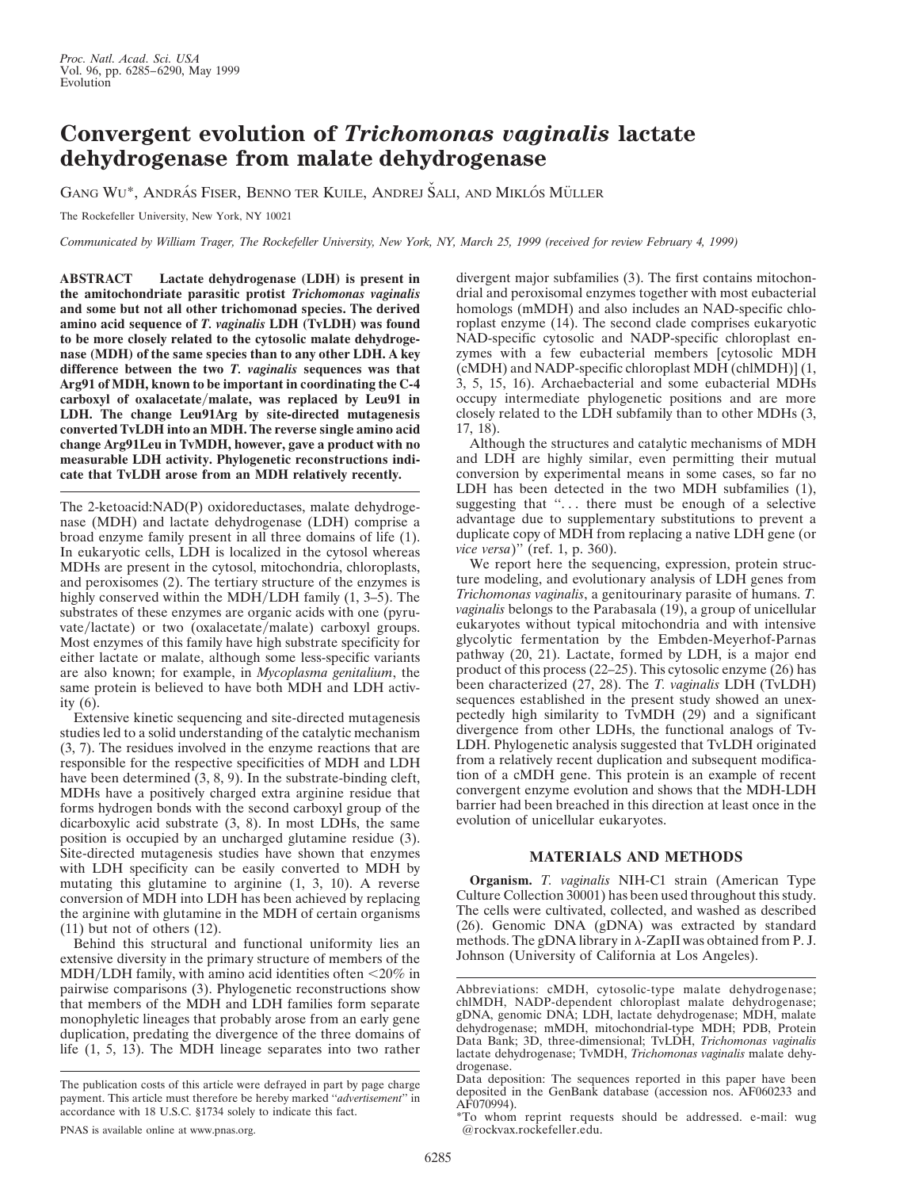## **Convergent evolution of** *Trichomonas vaginalis* **lactate dehydrogenase from malate dehydrogenase**

GANG WU\*, ANDRÁS FISER, BENNO TER KUILE, ANDREJ ŠALI, AND MIKLÓS MÜLLER

The Rockefeller University, New York, NY 10021

*Communicated by William Trager, The Rockefeller University, New York, NY, March 25, 1999 (received for review February 4, 1999)*

**ABSTRACT Lactate dehydrogenase (LDH) is present in the amitochondriate parasitic protist** *Trichomonas vaginalis* **and some but not all other trichomonad species. The derived amino acid sequence of** *T. vaginalis* **LDH (TvLDH) was found to be more closely related to the cytosolic malate dehydrogenase (MDH) of the same species than to any other LDH. A key difference between the two** *T. vaginalis* **sequences was that Arg91 of MDH, known to be important in coordinating the C-4** carboxyl of oxalacetate/malate, was replaced by Leu91 in **LDH. The change Leu91Arg by site-directed mutagenesis converted TvLDH into an MDH. The reverse single amino acid change Arg91Leu in TvMDH, however, gave a product with no measurable LDH activity. Phylogenetic reconstructions indicate that TvLDH arose from an MDH relatively recently.**

The 2-ketoacid:NAD(P) oxidoreductases, malate dehydrogenase (MDH) and lactate dehydrogenase (LDH) comprise a broad enzyme family present in all three domains of life (1). In eukaryotic cells, LDH is localized in the cytosol whereas MDHs are present in the cytosol, mitochondria, chloroplasts, and peroxisomes (2). The tertiary structure of the enzymes is highly conserved within the MDH/LDH family  $(1, 3-5)$ . The substrates of these enzymes are organic acids with one (pyruvate/lactate) or two (oxalacetate/malate) carboxyl groups. Most enzymes of this family have high substrate specificity for either lactate or malate, although some less-specific variants are also known; for example, in *Mycoplasma genitalium*, the same protein is believed to have both MDH and LDH activity (6).

Extensive kinetic sequencing and site-directed mutagenesis studies led to a solid understanding of the catalytic mechanism (3, 7). The residues involved in the enzyme reactions that are responsible for the respective specificities of MDH and LDH have been determined  $(3, 8, 9)$ . In the substrate-binding cleft, MDHs have a positively charged extra arginine residue that forms hydrogen bonds with the second carboxyl group of the dicarboxylic acid substrate (3, 8). In most LDHs, the same position is occupied by an uncharged glutamine residue (3). Site-directed mutagenesis studies have shown that enzymes with LDH specificity can be easily converted to MDH by mutating this glutamine to arginine (1, 3, 10). A reverse conversion of MDH into LDH has been achieved by replacing the arginine with glutamine in the MDH of certain organisms (11) but not of others (12).

Behind this structural and functional uniformity lies an extensive diversity in the primary structure of members of the  $MDH/LDH$  family, with amino acid identities often  $\leq$ 20% in pairwise comparisons (3). Phylogenetic reconstructions show that members of the MDH and LDH families form separate monophyletic lineages that probably arose from an early gene duplication, predating the divergence of the three domains of life (1, 5, 13). The MDH lineage separates into two rather

divergent major subfamilies (3). The first contains mitochondrial and peroxisomal enzymes together with most eubacterial homologs (mMDH) and also includes an NAD-specific chloroplast enzyme (14). The second clade comprises eukaryotic NAD-specific cytosolic and NADP-specific chloroplast enzymes with a few eubacterial members [cytosolic MDH (cMDH) and NADP-specific chloroplast MDH (chlMDH)] (1, 3, 5, 15, 16). Archaebacterial and some eubacterial MDHs occupy intermediate phylogenetic positions and are more closely related to the LDH subfamily than to other MDHs (3, 17, 18).

Although the structures and catalytic mechanisms of MDH and LDH are highly similar, even permitting their mutual conversion by experimental means in some cases, so far no LDH has been detected in the two MDH subfamilies (1), suggesting that "... there must be enough of a selective advantage due to supplementary substitutions to prevent a duplicate copy of MDH from replacing a native LDH gene (or *vice versa*)'' (ref. 1, p. 360).

We report here the sequencing, expression, protein structure modeling, and evolutionary analysis of LDH genes from *Trichomonas vaginalis*, a genitourinary parasite of humans. *T. vaginalis* belongs to the Parabasala (19), a group of unicellular eukaryotes without typical mitochondria and with intensive glycolytic fermentation by the Embden-Meyerhof-Parnas pathway (20, 21). Lactate, formed by LDH, is a major end product of this process (22–25). This cytosolic enzyme (26) has been characterized (27, 28). The *T. vaginalis* LDH (TvLDH) sequences established in the present study showed an unexpectedly high similarity to TvMDH (29) and a significant divergence from other LDHs, the functional analogs of Tv-LDH. Phylogenetic analysis suggested that TvLDH originated from a relatively recent duplication and subsequent modification of a cMDH gene. This protein is an example of recent convergent enzyme evolution and shows that the MDH-LDH barrier had been breached in this direction at least once in the evolution of unicellular eukaryotes.

## **MATERIALS AND METHODS**

**Organism.** *T. vaginalis* NIH-C1 strain (American Type Culture Collection 30001) has been used throughout this study. The cells were cultivated, collected, and washed as described (26). Genomic DNA (gDNA) was extracted by standard methods. The gDNA library in  $\lambda$ -ZapII was obtained from P. J. Johnson (University of California at Los Angeles).

The publication costs of this article were defrayed in part by page charge payment. This article must therefore be hereby marked ''*advertisement*'' in accordance with 18 U.S.C. §1734 solely to indicate this fact.

Abbreviations: cMDH, cytosolic-type malate dehydrogenase; chlMDH, NADP-dependent chloroplast malate dehydrogenase; gDNA, genomic DNA; LDH, lactate dehydrogenase; MDH, malate dehydrogenase; mMDH, mitochondrial-type MDH; PDB, Protein Data Bank; 3D, three-dimensional; TvLDH, *Trichomonas vaginalis* lactate dehydrogenase; TvMDH, *Trichomonas vaginalis* malate dehydrogenase.

Data deposition: The sequences reported in this paper have been deposited in the GenBank database (accession nos. AF060233 and AF070994).

<sup>\*</sup>To whom reprint requests should be addressed. e-mail: wug @rockvax.rockefeller.edu.

PNAS is available online at www.pnas.org.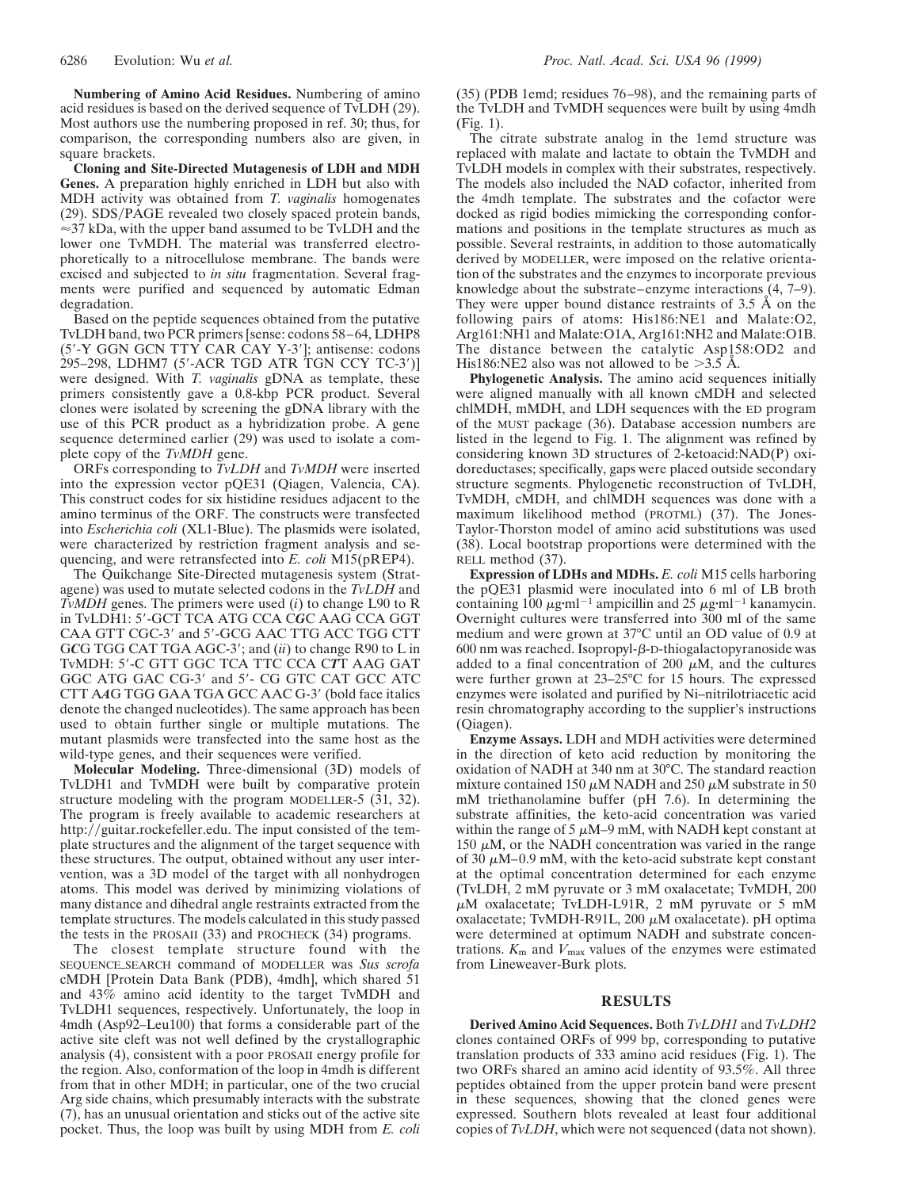**Numbering of Amino Acid Residues.** Numbering of amino acid residues is based on the derived sequence of TvLDH (29). Most authors use the numbering proposed in ref. 30; thus, for comparison, the corresponding numbers also are given, in square brackets.

**Cloning and Site-Directed Mutagenesis of LDH and MDH Genes.** A preparation highly enriched in LDH but also with MDH activity was obtained from *T. vaginalis* homogenates (29). SDS/PAGE revealed two closely spaced protein bands,  $\approx$ 37 kDa, with the upper band assumed to be TvLDH and the lower one TvMDH. The material was transferred electrophoretically to a nitrocellulose membrane. The bands were excised and subjected to *in situ* fragmentation. Several fragments were purified and sequenced by automatic Edman degradation.

Based on the peptide sequences obtained from the putative TvLDH band, two PCR primers [sense: codons 58–64, LDHP8 (5'-Y GGN GCN TTY CAR CAY Y-3']; antisense: codons 295-298, LDHM7 (5'-ACR TGD ATR TGN CCY TC-3')] were designed. With *T. vaginalis* gDNA as template, these primers consistently gave a 0.8-kbp PCR product. Several clones were isolated by screening the gDNA library with the use of this PCR product as a hybridization probe. A gene sequence determined earlier (29) was used to isolate a complete copy of the *TvMDH* gene.

ORFs corresponding to *TvLDH* and *TvMDH* were inserted into the expression vector pQE31 (Qiagen, Valencia, CA). This construct codes for six histidine residues adjacent to the amino terminus of the ORF. The constructs were transfected into *Escherichia coli* (XL1-Blue). The plasmids were isolated, were characterized by restriction fragment analysis and sequencing, and were retransfected into *E. coli* M15(pREP4).

The Quikchange Site-Directed mutagenesis system (Stratagene) was used to mutate selected codons in the *TvLDH* and *TvMDH* genes. The primers were used (*i*) to change L90 to R in TvLDH1: 5'-GCT TCA ATG CCA CGC AAG CCA GGT CAA GTT CGC-3' and 5'-GCG AAC TTG ACC TGG CTT GCG TGG CAT TGA AGC-3'; and (*ii*) to change R90 to L in TvMDH: 59-C GTT GGC TCA TTC CCA C*T*T AAG GAT GGC ATG GAC CG-3' and 5'- CG GTC CAT GCC ATC CTT AAG TGG GAA TGA GCC AAC G-3' (bold face italics denote the changed nucleotides). The same approach has been used to obtain further single or multiple mutations. The mutant plasmids were transfected into the same host as the wild-type genes, and their sequences were verified.

**Molecular Modeling.** Three-dimensional (3D) models of TvLDH1 and TvMDH were built by comparative protein structure modeling with the program MODELLER-5 (31, 32). The program is freely available to academic researchers at http://guitar.rockefeller.edu. The input consisted of the template structures and the alignment of the target sequence with these structures. The output, obtained without any user intervention, was a 3D model of the target with all nonhydrogen atoms. This model was derived by minimizing violations of many distance and dihedral angle restraints extracted from the template structures. The models calculated in this study passed the tests in the PROSAII (33) and PROCHECK (34) programs.

The closest template structure found with the SEQUENCE\_SEARCH command of MODELLER was Sus scrofa cMDH [Protein Data Bank (PDB), 4mdh], which shared 51 and 43% amino acid identity to the target TvMDH and TvLDH1 sequences, respectively. Unfortunately, the loop in 4mdh (Asp92–Leu100) that forms a considerable part of the active site cleft was not well defined by the crystallographic analysis (4), consistent with a poor PROSAII energy profile for the region. Also, conformation of the loop in 4mdh is different from that in other MDH; in particular, one of the two crucial Arg side chains, which presumably interacts with the substrate (7), has an unusual orientation and sticks out of the active site pocket. Thus, the loop was built by using MDH from *E. coli*

(35) (PDB 1emd; residues 76–98), and the remaining parts of the TvLDH and TvMDH sequences were built by using 4mdh (Fig. 1).

The citrate substrate analog in the 1emd structure was replaced with malate and lactate to obtain the TvMDH and TvLDH models in complex with their substrates, respectively. The models also included the NAD cofactor, inherited from the 4mdh template. The substrates and the cofactor were docked as rigid bodies mimicking the corresponding conformations and positions in the template structures as much as possible. Several restraints, in addition to those automatically derived by MODELLER, were imposed on the relative orientation of the substrates and the enzymes to incorporate previous knowledge about the substrate–enzyme interactions (4, 7–9). They were upper bound distance restraints of 3.5 Å on the following pairs of atoms: His186:NE1 and Malate:O2, Arg161:NH1 and Malate:O1A, Arg161:NH2 and Malate:O1B. The distance between the catalytic Asp158:OD2 and His186:NE2 also was not allowed to be  $>3.5$  Å.

**Phylogenetic Analysis.** The amino acid sequences initially were aligned manually with all known cMDH and selected chlMDH, mMDH, and LDH sequences with the ED program of the MUST package (36). Database accession numbers are listed in the legend to Fig. 1. The alignment was refined by considering known 3D structures of 2-ketoacid:NAD(P) oxidoreductases; specifically, gaps were placed outside secondary structure segments. Phylogenetic reconstruction of TvLDH, TvMDH, cMDH, and chlMDH sequences was done with a maximum likelihood method (PROTML) (37). The Jones-Taylor-Thorston model of amino acid substitutions was used (38). Local bootstrap proportions were determined with the RELL method (37).

**Expression of LDHs and MDHs.** *E. coli* M15 cells harboring the pQE31 plasmid were inoculated into 6 ml of LB broth containing 100  $\mu$ g·ml<sup>-1</sup> ampicillin and 25  $\mu$ g·ml<sup>-1</sup> kanamycin. Overnight cultures were transferred into 300 ml of the same medium and were grown at 37°C until an OD value of 0.9 at  $600$  nm was reached. Isopropyl- $\beta$ -D-thiogalactopyranoside was added to a final concentration of 200  $\mu$ M, and the cultures were further grown at 23–25°C for 15 hours. The expressed enzymes were isolated and purified by Ni–nitrilotriacetic acid resin chromatography according to the supplier's instructions (Qiagen).

**Enzyme Assays.** LDH and MDH activities were determined in the direction of keto acid reduction by monitoring the oxidation of NADH at 340 nm at 30°C. The standard reaction mixture contained 150  $\mu$ M NADH and 250  $\mu$ M substrate in 50 mM triethanolamine buffer (pH 7.6). In determining the substrate affinities, the keto-acid concentration was varied within the range of 5  $\mu$ M–9 mM, with NADH kept constant at 150  $\mu$ M, or the NADH concentration was varied in the range of 30  $\mu$ M–0.9 mM, with the keto-acid substrate kept constant at the optimal concentration determined for each enzyme (TvLDH, 2 mM pyruvate or 3 mM oxalacetate; TvMDH, 200  $\mu$ M oxalacetate; TvLDH-L91R, 2 mM pyruvate or 5 mM oxalacetate; TvMDH-R91L, 200  $\mu$ M oxalacetate). pH optima were determined at optimum NADH and substrate concentrations.  $K_m$  and  $V_{\text{max}}$  values of the enzymes were estimated from Lineweaver-Burk plots.

## **RESULTS**

**Derived Amino Acid Sequences.** Both *TvLDH1* and *TvLDH2* clones contained ORFs of 999 bp, corresponding to putative translation products of 333 amino acid residues (Fig. 1). The two ORFs shared an amino acid identity of 93.5%. All three peptides obtained from the upper protein band were present in these sequences, showing that the cloned genes were expressed. Southern blots revealed at least four additional copies of *TvLDH*, which were not sequenced (data not shown).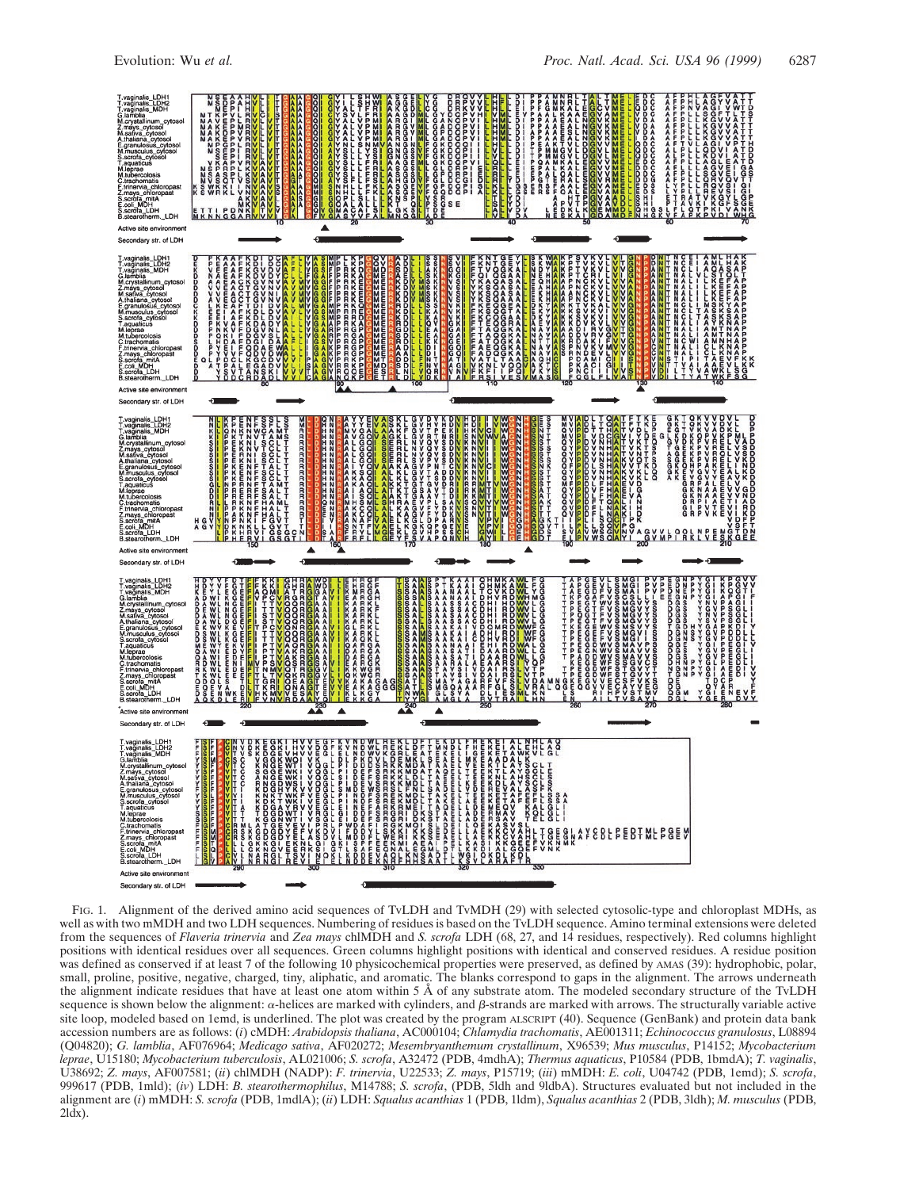

FIG. 1. Alignment of the derived amino acid sequences of TvLDH and TvMDH (29) with selected cytosolic-type and chloroplast MDHs, as well as with two mMDH and two LDH sequences. Numbering of residues is based on the TvLDH sequence. Amino terminal extensions were deleted from the sequences of *Flaveria trinervia* and *Zea mays* chlMDH and *S. scrofa* LDH (68, 27, and 14 residues, respectively). Red columns highlight positions with identical residues over all sequences. Green columns highlight positions with identical and conserved residues. A residue position was defined as conserved if at least 7 of the following 10 physicochemical properties were preserved, as defined by AMAS (39): hydrophobic, polar, small, proline, positive, negative, charged, tiny, aliphatic, and aromatic. The blanks correspond to gaps in the alignment. The arrows underneath the alignment indicate residues that have at least one atom within 5 Å of any substrate atom. The modeled secondary structure of the TvLDH sequence is shown below the alignment:  $\alpha$ -helices are marked with cylinders, and  $\beta$ -strands are marked with arrows. The structurally variable active site loop, modeled based on 1emd, is underlined. The plot was created by the program ALSCRIPT (40). Sequence (GenBank) and protein data bank accession numbers are as follows: (*i*) cMDH: *Arabidopsis thaliana*, AC000104; *Chlamydia trachomatis*, AE001311; *Echinococcus granulosus*, L08894 (Q04820); *G. lamblia*, AF076964; *Medicago sativa*, AF020272; *Mesembryanthemum crystallinum*, X96539; *Mus musculus*, P14152; *Mycobacterium leprae*, U15180; *Mycobacterium tuberculosis*, AL021006; *S. scrofa*, A32472 (PDB, 4mdhA); *Thermus aquaticus*, P10584 (PDB, 1bmdA); *T. vaginalis*, U38692; *Z. mays*, AF007581; (*ii*) chlMDH (NADP): *F. trinervia*, U22533; *Z. mays*, P15719; (*iii*) mMDH: *E. coli*, U04742 (PDB, 1emd); *S. scrofa*, 999617 (PDB, 1mld); (*iv*) LDH: *B. stearothermophilus*, M14788; *S. scrofa*, (PDB, 5ldh and 9ldbA). Structures evaluated but not included in the alignment are (*i*) mMDH: *S. scrofa* (PDB, 1mdlA); (*ii*) LDH: *Squalus acanthias* 1 (PDB, 1ldm), *Squalus acanthias* 2 (PDB, 3ldh); *M. musculus* (PDB,  $2ldx$ ).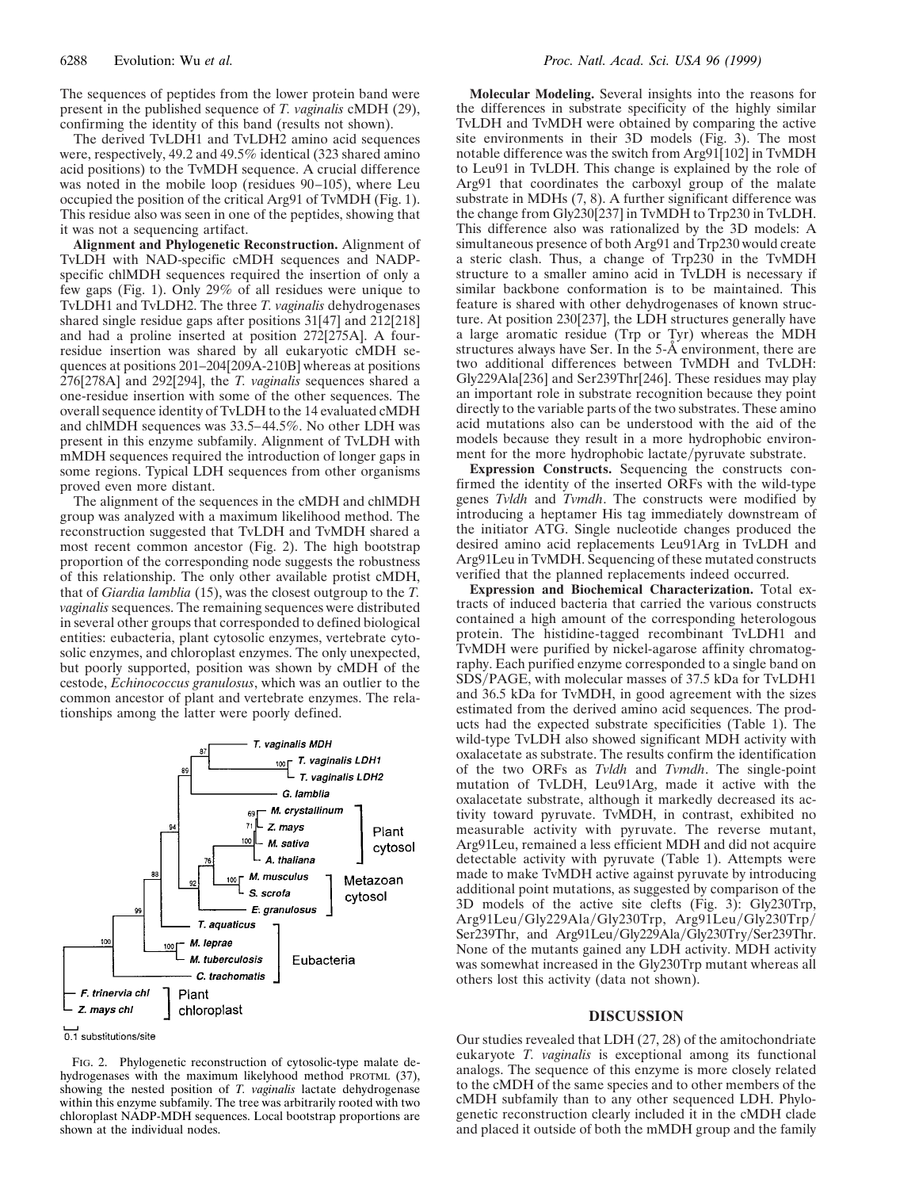The sequences of peptides from the lower protein band were present in the published sequence of *T. vaginalis* cMDH (29), confirming the identity of this band (results not shown).

The derived TvLDH1 and TvLDH2 amino acid sequences were, respectively, 49.2 and 49.5% identical (323 shared amino acid positions) to the TvMDH sequence. A crucial difference was noted in the mobile loop (residues 90–105), where Leu occupied the position of the critical Arg91 of TvMDH (Fig. 1). This residue also was seen in one of the peptides, showing that it was not a sequencing artifact.

**Alignment and Phylogenetic Reconstruction.** Alignment of TvLDH with NAD-specific cMDH sequences and NADPspecific chlMDH sequences required the insertion of only a few gaps (Fig. 1). Only 29% of all residues were unique to TvLDH1 and TvLDH2. The three *T. vaginalis* dehydrogenases shared single residue gaps after positions 31[47] and 212[218] and had a proline inserted at position 272[275A]. A fourresidue insertion was shared by all eukaryotic cMDH sequences at positions 201–204[209A-210B] whereas at positions 276[278A] and 292[294], the *T. vaginalis* sequences shared a one-residue insertion with some of the other sequences. The overall sequence identity of TvLDH to the 14 evaluated cMDH and chlMDH sequences was 33.5–44.5%. No other LDH was present in this enzyme subfamily. Alignment of TvLDH with mMDH sequences required the introduction of longer gaps in some regions. Typical LDH sequences from other organisms proved even more distant.

The alignment of the sequences in the cMDH and chlMDH group was analyzed with a maximum likelihood method. The reconstruction suggested that TvLDH and TvMDH shared a most recent common ancestor (Fig. 2). The high bootstrap proportion of the corresponding node suggests the robustness of this relationship. The only other available protist cMDH, that of *Giardia lamblia* (15), was the closest outgroup to the *T. vaginalis* sequences. The remaining sequences were distributed in several other groups that corresponded to defined biological entities: eubacteria, plant cytosolic enzymes, vertebrate cytosolic enzymes, and chloroplast enzymes. The only unexpected, but poorly supported, position was shown by cMDH of the cestode, *Echinococcus granulosus*, which was an outlier to the common ancestor of plant and vertebrate enzymes. The relationships among the latter were poorly defined.





FIG. 2. Phylogenetic reconstruction of cytosolic-type malate dehydrogenases with the maximum likelyhood method PROTML (37), showing the nested position of *T. vaginalis* lactate dehydrogenase within this enzyme subfamily. The tree was arbitrarily rooted with two chloroplast NADP-MDH sequences. Local bootstrap proportions are shown at the individual nodes.

**Molecular Modeling.** Several insights into the reasons for the differences in substrate specificity of the highly similar TvLDH and TvMDH were obtained by comparing the active site environments in their 3D models (Fig. 3). The most notable difference was the switch from Arg91[102] in TvMDH to Leu91 in TvLDH. This change is explained by the role of Arg91 that coordinates the carboxyl group of the malate substrate in MDHs (7, 8). A further significant difference was the change from Gly230[237] in TvMDH to Trp230 in TvLDH. This difference also was rationalized by the 3D models: A simultaneous presence of both Arg91 and Trp230 would create a steric clash. Thus, a change of Trp230 in the TvMDH structure to a smaller amino acid in TvLDH is necessary if similar backbone conformation is to be maintained. This feature is shared with other dehydrogenases of known structure. At position 230[237], the LDH structures generally have a large aromatic residue (Trp or Tyr) whereas the MDH structures always have Ser. In the 5-Å environment, there are two additional differences between TvMDH and TvLDH: Gly229Ala[236] and Ser239Thr[246]. These residues may play an important role in substrate recognition because they point directly to the variable parts of the two substrates. These amino acid mutations also can be understood with the aid of the models because they result in a more hydrophobic environment for the more hydrophobic lactate/pyruvate substrate.

**Expression Constructs.** Sequencing the constructs confirmed the identity of the inserted ORFs with the wild-type genes *Tvldh* and *Tvmdh*. The constructs were modified by introducing a heptamer His tag immediately downstream of the initiator ATG. Single nucleotide changes produced the desired amino acid replacements Leu91Arg in TvLDH and Arg91Leu in TvMDH. Sequencing of these mutated constructs verified that the planned replacements indeed occurred.

**Expression and Biochemical Characterization.** Total extracts of induced bacteria that carried the various constructs contained a high amount of the corresponding heterologous protein. The histidine-tagged recombinant TvLDH1 and TvMDH were purified by nickel-agarose affinity chromatography. Each purified enzyme corresponded to a single band on SDS/PAGE, with molecular masses of 37.5 kDa for TvLDH1 and 36.5 kDa for TvMDH, in good agreement with the sizes estimated from the derived amino acid sequences. The products had the expected substrate specificities (Table 1). The wild-type TvLDH also showed significant MDH activity with oxalacetate as substrate. The results confirm the identification of the two ORFs as *Tvldh* and *Tvmdh*. The single-point mutation of TvLDH, Leu91Arg, made it active with the oxalacetate substrate, although it markedly decreased its activity toward pyruvate. TvMDH, in contrast, exhibited no measurable activity with pyruvate. The reverse mutant, Arg91Leu, remained a less efficient MDH and did not acquire detectable activity with pyruvate (Table 1). Attempts were made to make TvMDH active against pyruvate by introducing additional point mutations, as suggested by comparison of the 3D models of the active site clefts (Fig. 3): Gly230Trp, Arg91Leu/Gly229Ala/Gly230Trp, Arg91Leu/Gly230Trp/ Ser239Thr, and Arg91Leu/Gly229Ala/Gly230Try/Ser239Thr. None of the mutants gained any LDH activity. MDH activity was somewhat increased in the Gly230Trp mutant whereas all others lost this activity (data not shown).

## **DISCUSSION**

Our studies revealed that LDH (27, 28) of the amitochondriate eukaryote *T. vaginalis* is exceptional among its functional analogs. The sequence of this enzyme is more closely related to the cMDH of the same species and to other members of the cMDH subfamily than to any other sequenced LDH. Phylogenetic reconstruction clearly included it in the cMDH clade and placed it outside of both the mMDH group and the family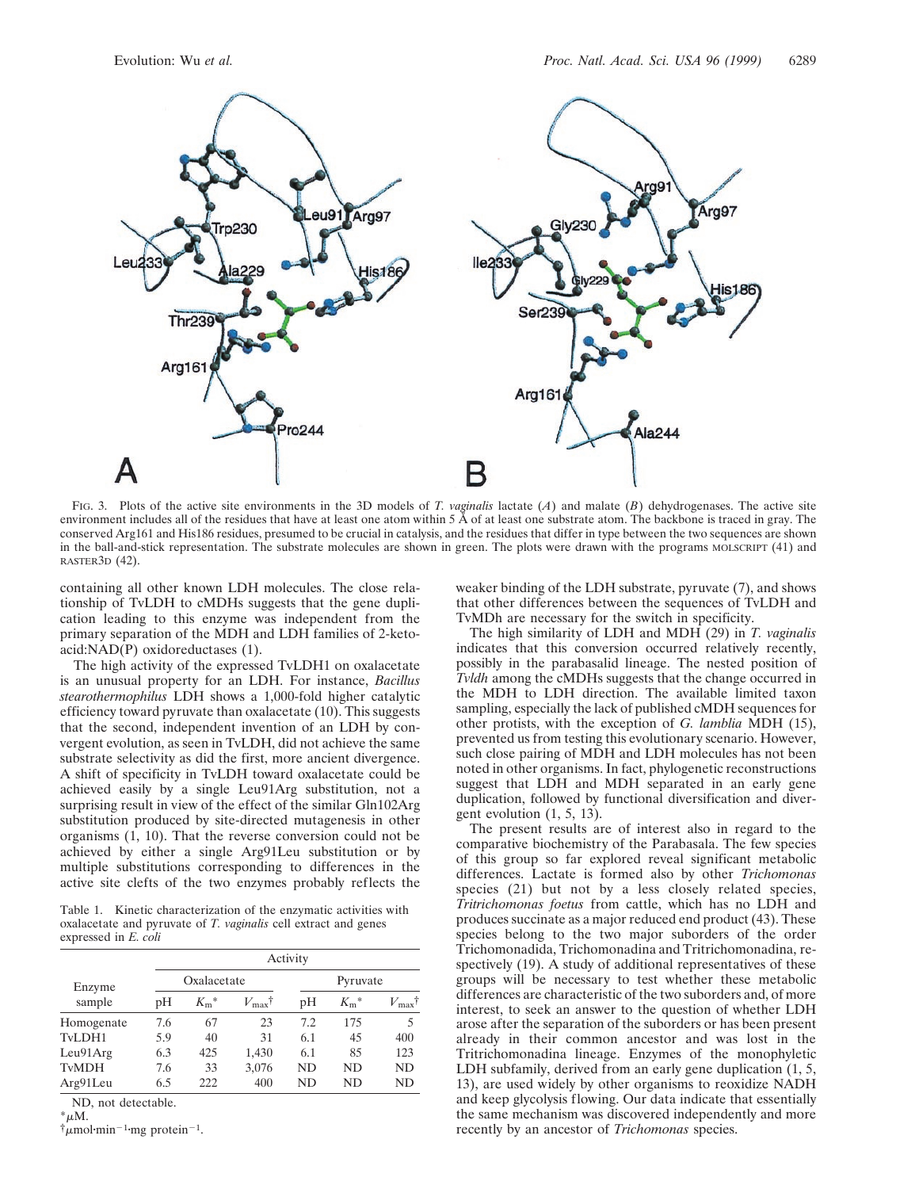

FIG. 3. Plots of the active site environments in the 3D models of *T. vaginalis* lactate (*A*) and malate (*B*) dehydrogenases. The active site environment includes all of the residues that have at least one atom within 5 Å of at least one substrate atom. The backbone is traced in gray. The conserved Arg161 and His186 residues, presumed to be crucial in catalysis, and the residues that differ in type between the two sequences are shown in the ball-and-stick representation. The substrate molecules are shown in green. The plots were drawn with the programs MOLSCRIPT (41) and RASTER3D (42).

containing all other known LDH molecules. The close relationship of TvLDH to cMDHs suggests that the gene duplication leading to this enzyme was independent from the primary separation of the MDH and LDH families of 2-ketoacid:NAD(P) oxidoreductases (1).

The high activity of the expressed TvLDH1 on oxalacetate is an unusual property for an LDH. For instance, *Bacillus stearothermophilus* LDH shows a 1,000-fold higher catalytic efficiency toward pyruvate than oxalacetate (10). This suggests that the second, independent invention of an LDH by convergent evolution, as seen in TvLDH, did not achieve the same substrate selectivity as did the first, more ancient divergence. A shift of specificity in TvLDH toward oxalacetate could be achieved easily by a single Leu91Arg substitution, not a surprising result in view of the effect of the similar Gln102Arg substitution produced by site-directed mutagenesis in other organisms (1, 10). That the reverse conversion could not be achieved by either a single Arg91Leu substitution or by multiple substitutions corresponding to differences in the active site clefts of the two enzymes probably reflects the

Table 1. Kinetic characterization of the enzymatic activities with oxalacetate and pyruvate of *T. vaginalis* cell extract and genes expressed in *E. coli*

|                  | Activity    |                          |                               |          |               |                            |
|------------------|-------------|--------------------------|-------------------------------|----------|---------------|----------------------------|
| Enzyme<br>sample | Oxalacetate |                          |                               | Pyruvate |               |                            |
|                  | рH          | $K_{\rm m}$ <sup>*</sup> | $V_{\text{max}}$ <sup>†</sup> | pH       | $K_{\rm m}$ * | $V_{\rm max}$ <sup>†</sup> |
| Homogenate       | 7.6         | 67                       | 23                            | 7.2      | 175           | 5                          |
| TvLDH1           | 5.9         | 40                       | 31                            | 6.1      | 45            | 400                        |
| Leu91Arg         | 6.3         | 425                      | 1,430                         | 6.1      | 85            | 123                        |
| <b>TvMDH</b>     | 7.6         | 33                       | 3,076                         | ND.      | ND            | <b>ND</b>                  |
| Arg91Leu         | 6.5         | 222                      | 400                           | ND       | ND            | ND                         |

ND, not detectable.

 $^* \mu M$ .

 $\dot{\tau}_{\mu}$ mol·min<sup>-1</sup>·mg protein<sup>-1</sup>.

weaker binding of the LDH substrate, pyruvate (7), and shows that other differences between the sequences of TvLDH and TvMDh are necessary for the switch in specificity.

The high similarity of LDH and MDH (29) in *T. vaginalis* indicates that this conversion occurred relatively recently, possibly in the parabasalid lineage. The nested position of *Tvldh* among the cMDHs suggests that the change occurred in the MDH to LDH direction. The available limited taxon sampling, especially the lack of published cMDH sequences for other protists, with the exception of *G. lamblia* MDH (15), prevented us from testing this evolutionary scenario. However, such close pairing of MDH and LDH molecules has not been noted in other organisms. In fact, phylogenetic reconstructions suggest that LDH and MDH separated in an early gene duplication, followed by functional diversification and divergent evolution (1, 5, 13).

The present results are of interest also in regard to the comparative biochemistry of the Parabasala. The few species of this group so far explored reveal significant metabolic differences. Lactate is formed also by other *Trichomonas* species (21) but not by a less closely related species, *Tritrichomonas foetus* from cattle, which has no LDH and produces succinate as a major reduced end product (43). These species belong to the two major suborders of the order Trichomonadida, Trichomonadina and Tritrichomonadina, respectively (19). A study of additional representatives of these groups will be necessary to test whether these metabolic differences are characteristic of the two suborders and, of more interest, to seek an answer to the question of whether LDH arose after the separation of the suborders or has been present already in their common ancestor and was lost in the Tritrichomonadina lineage. Enzymes of the monophyletic LDH subfamily, derived from an early gene duplication (1, 5, 13), are used widely by other organisms to reoxidize NADH and keep glycolysis flowing. Our data indicate that essentially the same mechanism was discovered independently and more recently by an ancestor of *Trichomonas* species.